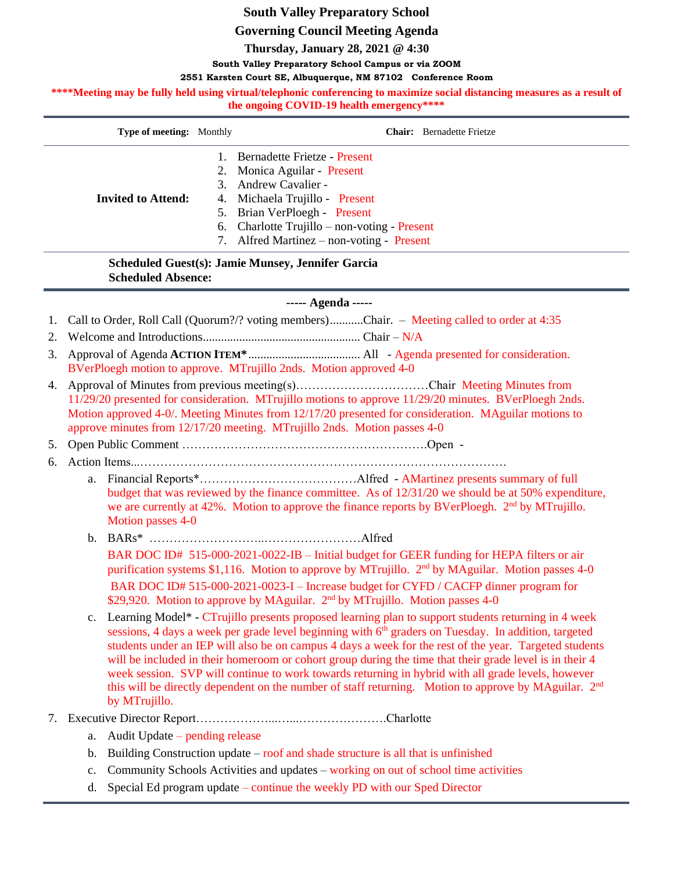# **South Valley Preparatory School**

## **Governing Council Meeting Agenda**

**Thursday, January 28, 2021 @ 4:30**

**South Valley Preparatory School Campus or via ZOOM**

#### **2551 Karsten Court SE, Albuquerque, NM 87102 Conference Room**

\*\*\*\*Meeting may be fully held using virtual/telephonic conferencing to maximize social distancing measures as a result of **the ongoing COVID-19 health emergency\*\*\*\***

| <b>Type of meeting:</b> Monthly | <b>Chair:</b> Bernadette Frietze                                                                                                                                                                                                                   |
|---------------------------------|----------------------------------------------------------------------------------------------------------------------------------------------------------------------------------------------------------------------------------------------------|
| <b>Invited to Attend:</b>       | Bernadette Frietze - Present<br>2. Monica Aguilar - Present<br>3. Andrew Cavalier -<br>4. Michaela Trujillo - Present<br>5. Brian VerPloegh - Present<br>6. Charlotte Trujillo – non-voting - Present<br>7. Alfred Martinez – non-voting - Present |
|                                 |                                                                                                                                                                                                                                                    |

## **Scheduled Guest(s): Jamie Munsey, Jennifer Garcia Scheduled Absence:**

### **----- Agenda -----**

1. Call to Order, Roll Call (Quorum?/? voting members)...........Chair. – Meeting called to order at 4:35

2. Welcome and Introductions.................................................... Chair – N/A

- 3. Approval of Agenda **ACTION ITEM\***..................................... All Agenda presented for consideration. BVerPloegh motion to approve. MTrujillo 2nds. Motion approved 4-0
- 4. Approval of Minutes from previous meeting(s)……………………………Chair Meeting Minutes from 11/29/20 presented for consideration. MTrujillo motions to approve 11/29/20 minutes. BVerPloegh 2nds. Motion approved 4-0/. Meeting Minutes from 12/17/20 presented for consideration. MAguilar motions to approve minutes from 12/17/20 meeting. MTrujillo 2nds. Motion passes 4-0

5. Open Public Comment …………………………………………………….Open -

6. Action Items...……………………………………………………………………………….

- a. Financial Reports\*…………………………………Alfred AMartinez presents summary of full budget that was reviewed by the finance committee. As of 12/31/20 we should be at 50% expenditure, we are currently at 42%. Motion to approve the finance reports by BVerPloegh. 2<sup>nd</sup> by MTrujillo. Motion passes 4-0
- b. BARs\* ………………………..……………………Alfred BAR DOC ID# 515-000-2021-0022-IB – Initial budget for GEER funding for HEPA filters or air purification systems \$1,116. Motion to approve by MTrujillo. 2<sup>nd</sup> by MAguilar. Motion passes 4-0 BAR DOC ID# 515-000-2021-0023-I – Increase budget for CYFD / CACFP dinner program for \$29,920. Motion to approve by MAguilar. 2<sup>nd</sup> by MTrujillo. Motion passes 4-0
- c. Learning Model\* CTrujillo presents proposed learning plan to support students returning in 4 week sessions, 4 days a week per grade level beginning with 6<sup>th</sup> graders on Tuesday. In addition, targeted students under an IEP will also be on campus 4 days a week for the rest of the year. Targeted students will be included in their homeroom or cohort group during the time that their grade level is in their 4 week session. SVP will continue to work towards returning in hybrid with all grade levels, however this will be directly dependent on the number of staff returning. Motion to approve by MAguilar.  $2<sup>nd</sup>$ by MTrujillo.
- 7. Executive Director Report………………...…...………………….Charlotte
	- a. Audit Update pending release
	- b. Building Construction update roof and shade structure is all that is unfinished
	- c. Community Schools Activities and updates working on out of school time activities
	- d. Special Ed program update continue the weekly PD with our Sped Director